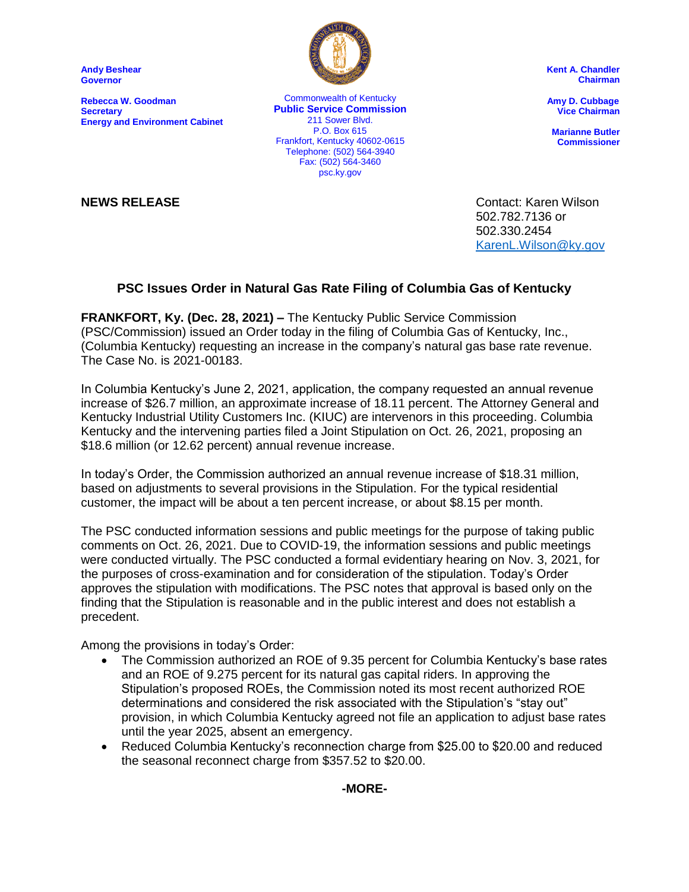**Andy Beshear Governor**

**Rebecca W. Goodman Secretary Energy and Environment Cabinet**



Commonwealth of Kentucky **Public Service Commission** 211 Sower Blvd. P.O. Box 615 Frankfort, Kentucky 40602-0615 Telephone: (502) 564-3940 Fax: (502) 564-3460 psc.ky.gov

**Kent A. Chandler Chairman**

 **Amy D. Cubbage Vice Chairman**

**Marianne Butler Commissioner**

**NEWS RELEASE** Contact: Karen Wilson 502.782.7136 or 502.330.2454 [KarenL.Wilson@ky.gov](mailto:KarenL.Wilson@ky.gov)

## **PSC Issues Order in Natural Gas Rate Filing of Columbia Gas of Kentucky**

**FRANKFORT, Ky. (Dec. 28, 2021) –** The Kentucky Public Service Commission (PSC/Commission) issued an Order today in the filing of Columbia Gas of Kentucky, Inc., (Columbia Kentucky) requesting an increase in the company's natural gas base rate revenue. The Case No. is 2021-00183.

In Columbia Kentucky's June 2, 2021, application, the company requested an annual revenue increase of \$26.7 million, an approximate increase of 18.11 percent. The Attorney General and Kentucky Industrial Utility Customers Inc. (KIUC) are intervenors in this proceeding. Columbia Kentucky and the intervening parties filed a Joint Stipulation on Oct. 26, 2021, proposing an \$18.6 million (or 12.62 percent) annual revenue increase.

In today's Order, the Commission authorized an annual revenue increase of \$18.31 million, based on adjustments to several provisions in the Stipulation. For the typical residential customer, the impact will be about a ten percent increase, or about \$8.15 per month.

The PSC conducted information sessions and public meetings for the purpose of taking public comments on Oct. 26, 2021. Due to COVID-19, the information sessions and public meetings were conducted virtually. The PSC conducted a formal evidentiary hearing on Nov. 3, 2021, for the purposes of cross-examination and for consideration of the stipulation. Today's Order approves the stipulation with modifications. The PSC notes that approval is based only on the finding that the Stipulation is reasonable and in the public interest and does not establish a precedent.

Among the provisions in today's Order:

- The Commission authorized an ROE of 9.35 percent for Columbia Kentucky's base rates and an ROE of 9.275 percent for its natural gas capital riders. In approving the Stipulation's proposed ROEs, the Commission noted its most recent authorized ROE determinations and considered the risk associated with the Stipulation's "stay out" provision, in which Columbia Kentucky agreed not file an application to adjust base rates until the year 2025, absent an emergency.
- Reduced Columbia Kentucky's reconnection charge from \$25.00 to \$20.00 and reduced the seasonal reconnect charge from \$357.52 to \$20.00.

**-MORE-**